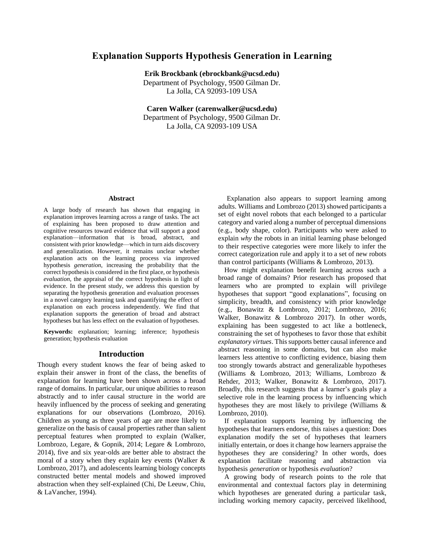# **Explanation Supports Hypothesis Generation in Learning**

**Erik Brockbank (ebrockbank@ucsd.edu)** Department of Psychology, 9500 Gilman Dr. La Jolla, CA 92093-109 USA

**Caren Walker [\(carenwalker@ucsd.edu\)](mailto:carenwalker@ucsd.edu)** Department of Psychology, 9500 Gilman Dr. La Jolla, CA 92093-109 USA

#### **Abstract**

A large body of research has shown that engaging in explanation improves learning across a range of tasks. The act of explaining has been proposed to draw attention and cognitive resources toward evidence that will support a good explanation—information that is broad, abstract, and consistent with prior knowledge—which in turn aids discovery and generalization. However, it remains unclear whether explanation acts on the learning process via improved hypothesis *generation*, increasing the probability that the correct hypothesis is considered in the first place, or hypothesis *evaluation*, the appraisal of the correct hypothesis in light of evidence. In the present study, we address this question by separating the hypothesis generation and evaluation processes in a novel category learning task and quantifying the effect of explanation on each process independently. We find that explanation supports the generation of broad and abstract hypotheses but has less effect on the evaluation of hypotheses.

**Keywords:** explanation; learning; inference; hypothesis generation; hypothesis evaluation

#### **Introduction**

Though every student knows the fear of being asked to explain their answer in front of the class, the benefits of explanation for learning have been shown across a broad range of domains. In particular, our unique abilities to reason abstractly and to infer causal structure in the world are heavily influenced by the process of seeking and generating explanations for our observations (Lombrozo, 2016). Children as young as three years of age are more likely to generalize on the basis of causal properties rather than salient perceptual features when prompted to explain (Walker, Lombrozo, Legare, & Gopnik, 2014; Legare & Lombrozo, 2014), five and six year-olds are better able to abstract the moral of a story when they explain key events (Walker & Lombrozo, 2017), and adolescents learning biology concepts constructed better mental models and showed improved abstraction when they self-explained (Chi, De Leeuw, Chiu, & LaVancher, 1994).

 Explanation also appears to support learning among adults. Williams and Lombrozo (2013) showed participants a set of eight novel robots that each belonged to a particular category and varied along a number of perceptual dimensions (e.g., body shape, color). Participants who were asked to explain *why* the robots in an initial learning phase belonged to their respective categories were more likely to infer the correct categorization rule and apply it to a set of new robots than control participants (Williams & Lombrozo, 2013).

How might explanation benefit learning across such a broad range of domains? Prior research has proposed that learners who are prompted to explain will privilege hypotheses that support "good explanations", focusing on simplicity, breadth, and consistency with prior knowledge (e.g., Bonawitz & Lombrozo, 2012; Lombrozo, 2016; Walker, Bonawitz & Lombrozo 2017). In other words, explaining has been suggested to act like a bottleneck, constraining the set of hypotheses to favor those that exhibit *explanatory virtues*. This supports better causal inference and abstract reasoning in some domains, but can also make learners less attentive to conflicting evidence, biasing them too strongly towards abstract and generalizable hypotheses (Williams & Lombrozo, 2013; Williams, Lombrozo & Rehder, 2013; Walker, Bonawitz & Lombrozo, 2017). Broadly, this research suggests that a learner's goals play a selective role in the learning process by influencing which hypotheses they are most likely to privilege (Williams & Lombrozo, 2010).

If explanation supports learning by influencing the hypotheses that learners endorse, this raises a question: Does explanation modify the set of hypotheses that learners initially entertain, or does it change how learners appraise the hypotheses they are considering? In other words, does explanation facilitate reasoning and abstraction via hypothesis *generation* or hypothesis *evaluation*?

A growing body of research points to the role that environmental and contextual factors play in determining which hypotheses are generated during a particular task, including working memory capacity, perceived likelihood,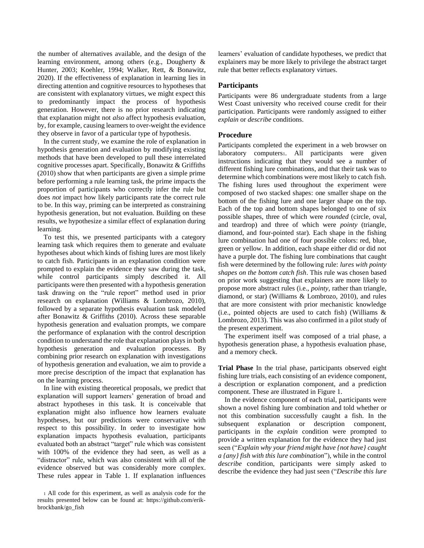the number of alternatives available, and the design of the learning environment, among others (e.g., Dougherty & Hunter, 2003; Koehler, 1994; Walker, Rett, & Bonawitz, 2020). If the effectiveness of explanation in learning lies in directing attention and cognitive resources to hypotheses that are consistent with explanatory virtues, we might expect this to predominantly impact the process of hypothesis generation. However, there is no prior research indicating that explanation might not *also* affect hypothesis evaluation, by, for example, causing learners to over-weight the evidence they observe in favor of a particular type of hypothesis.

In the current study, we examine the role of explanation in hypothesis generation and evaluation by modifying existing methods that have been developed to pull these interrelated cognitive processes apart. Specifically, Bonawitz & Griffiths (2010) show that when participants are given a simple prime before performing a rule learning task, the prime impacts the proportion of participants who correctly infer the rule but does *not* impact how likely participants rate the correct rule to be. In this way, priming can be interpreted as constraining hypothesis generation, but not evaluation. Building on these results, we hypothesize a similar effect of explanation during learning.

To test this, we presented participants with a category learning task which requires them to generate and evaluate hypotheses about which kinds of fishing lures are most likely to catch fish. Participants in an explanation condition were prompted to explain the evidence they saw during the task, while control participants simply described it. All participants were then presented with a hypothesis generation task drawing on the "rule report" method used in prior research on explanation (Williams & Lombrozo, 2010), followed by a separate hypothesis evaluation task modeled after Bonawitz & Griffiths (2010). Across these separable hypothesis generation and evaluation prompts, we compare the performance of explanation with the control description condition to understand the role that explanation plays in both hypothesis generation and evaluation processes. By combining prior research on explanation with investigations of hypothesis generation and evaluation, we aim to provide a more precise description of the impact that explanation has on the learning process.

In line with existing theoretical proposals, we predict that explanation will support learners' generation of broad and abstract hypotheses in this task. It is conceivable that explanation might also influence how learners evaluate hypotheses, but our predictions were conservative with respect to this possibility. In order to investigate how explanation impacts hypothesis evaluation, participants evaluated both an abstract "target" rule which was consistent with 100% of the evidence they had seen, as well as a "distractor" rule, which was also consistent with all of the evidence observed but was considerably more complex. These rules appear in Table 1. If explanation influences

learners' evaluation of candidate hypotheses, we predict that explainers may be more likely to privilege the abstract target rule that better reflects explanatory virtues.

#### **Participants**

Participants were 86 undergraduate students from a large West Coast university who received course credit for their participation. Participants were randomly assigned to either *explain* or *describe* conditions.

#### **Procedure**

Participants completed the experiment in a web browser on laboratory computers<sup>1</sup>. All participants were given instructions indicating that they would see a number of different fishing lure combinations, and that their task was to determine which combinations were most likely to catch fish. The fishing lures used throughout the experiment were composed of two stacked shapes: one smaller shape on the bottom of the fishing lure and one larger shape on the top. Each of the top and bottom shapes belonged to one of six possible shapes, three of which were *rounded* (circle, oval, and teardrop) and three of which were *pointy* (triangle, diamond, and four-pointed star). Each shape in the fishing lure combination had one of four possible colors: red, blue, green or yellow. In addition, each shape either did or did not have a purple dot. The fishing lure combinations that caught fish were determined by the following rule: *lures with pointy shapes on the bottom catch fish*. This rule was chosen based on prior work suggesting that explainers are more likely to propose more abstract rules (i.e., *pointy*, rather than triangle, diamond, or star) (Williams & Lombrozo, 2010), and rules that are more consistent with prior mechanistic knowledge (i.e., pointed objects are used to catch fish) (Williams & Lombrozo, 2013). This was also confirmed in a pilot study of the present experiment.

The experiment itself was composed of a trial phase, a hypothesis generation phase, a hypothesis evaluation phase, and a memory check.

**Trial Phase** In the trial phase, participants observed eight fishing lure trials, each consisting of an evidence component, a description or explanation component, and a prediction component. These are illustrated in Figure 1.

In the evidence component of each trial, participants were shown a novel fishing lure combination and told whether or not this combination successfully caught a fish. In the subsequent explanation or description component, participants in the *explain* condition were prompted to provide a written explanation for the evidence they had just seen ("*Explain why your friend might have {not have} caught a {any} fish with this lure combination*"), while in the control *describe* condition, participants were simply asked to describe the evidence they had just seen ("*Describe this lure* 

<sup>1</sup> All code for this experiment, as well as analysis code for the results presented below can be found at: https://github.com/erikbrockbank/go\_fish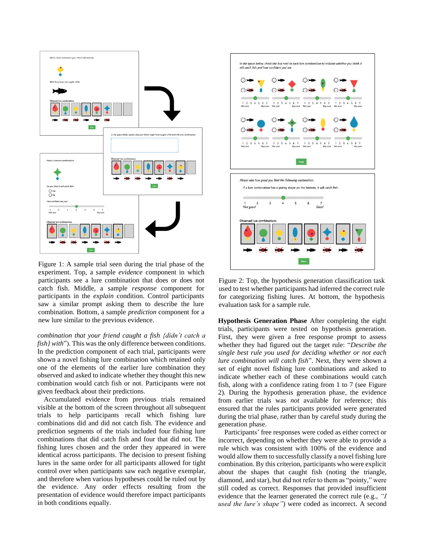

Figure 1: A sample trial seen during the trial phase of the experiment. Top, a sample *evidence* component in which participants see a lure combination that does or does not catch fish. Middle, a sample *response* component for participants in the *explain* condition. Control participants saw a similar prompt asking them to describe the lure combination. Bottom, a sample *prediction* component for a new lure similar to the previous evidence.

*combination that your friend caught a fish {didn't catch a fish} with*"). This was the only difference between conditions. In the prediction component of each trial, participants were shown a novel fishing lure combination which retained only one of the elements of the earlier lure combination they observed and asked to indicate whether they thought this new combination would catch fish or not. Participants were not given feedback about their predictions.

Accumulated evidence from previous trials remained visible at the bottom of the screen throughout all subsequent trials to help participants recall which fishing lure combinations did and did not catch fish. The evidence and prediction segments of the trials included four fishing lure combinations that did catch fish and four that did not. The fishing lures chosen and the order they appeared in were identical across participants. The decision to present fishing lures in the same order for all participants allowed for tight control over when participants saw each negative exemplar, and therefore when various hypotheses could be ruled out by the evidence. Any order effects resulting from the presentation of evidence would therefore impact participants in both conditions equally.



Figure 2: Top, the hypothesis generation classification task used to test whether participants had inferred the correct rule for categorizing fishing lures. At bottom, the hypothesis evaluation task for a sample rule.

**Hypothesis Generation Phase** After completing the eight trials, participants were tested on hypothesis generation. First, they were given a free response prompt to assess whether they had figured out the target rule: "*Describe the single best rule you used for deciding whether or not each lure combination will catch fish*". Next, they were shown a set of eight novel fishing lure combinations and asked to indicate whether each of these combinations would catch fish, along with a confidence rating from 1 to 7 (see Figure 2). During the hypothesis generation phase, the evidence from earlier trials was *not* available for reference; this ensured that the rules participants provided were generated during the trial phase, rather than by careful study during the generation phase.

Participants' free responses were coded as either correct or incorrect, depending on whether they were able to provide a rule which was consistent with 100% of the evidence and would allow them to successfully classify a novel fishing lure combination. By this criterion, participants who were explicit about the shapes that caught fish (noting the triangle, diamond, and star), but did not refer to them as "pointy," were still coded as correct. Responses that provided insufficient evidence that the learner generated the correct rule (e.g., *"I used the lure's shape"*) were coded as incorrect. A second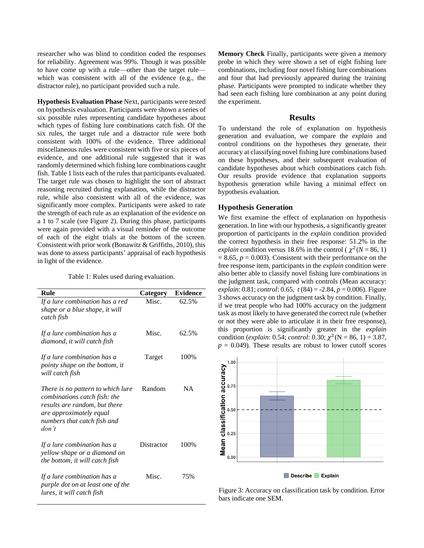researcher who was blind to condition coded the responses for reliability. Agreement was 99%. Though it was possible to have come up with a rule—other than the target rule which was consistent with all of the evidence (e.g., the distractor rule), no participant provided such a rule.

**Hypothesis Evaluation Phase** Next, participants were tested on hypothesis evaluation. Participants were shown a series of six possible rules representing candidate hypotheses about which types of fishing lure combinations catch fish. Of the six rules, the target rule and a distractor rule were both consistent with 100% of the evidence. Three additional miscellaneous rules were consistent with five or six pieces of evidence, and one additional rule suggested that it was randomly determined which fishing lure combinations caught fish. Table 1 lists each of the rules that participants evaluated. The target rule was chosen to highlight the sort of abstract reasoning recruited during explanation, while the distractor rule, while also consistent with all of the evidence, was significantly more complex. Participants were asked to rate the strength of each rule as an explanation of the evidence on a 1 to 7 scale (see Figure 2). During this phase, participants were again provided with a visual reminder of the outcome of each of the eight trials at the bottom of the screen. Consistent with prior work (Bonawitz & Griffiths, 2010), this was done to assess participants' appraisal of each hypothesis in light of the evidence.

Table 1: Rules used during evaluation.

| Rule                                                                                                                                                                  | Category   | <b>Evidence</b> |
|-----------------------------------------------------------------------------------------------------------------------------------------------------------------------|------------|-----------------|
| If a lure combination has a red<br>shape or a blue shape, it will<br>catch fish                                                                                       | Misc.      | 62.5%           |
| If a lure combination has a<br>diamond, it will catch fish                                                                                                            | Misc.      | 62.5%           |
| If a lure combination has a<br>pointy shape on the bottom, it<br>will catch fish                                                                                      | Target     | 100%            |
| There is no pattern to which lure<br>combinations catch fish: the<br>results are random, but there<br>are approximately equal<br>numbers that catch fish and<br>don't | Random     | <b>NA</b>       |
| If a lure combination has a<br>yellow shape or a diamond on<br>the bottom, it will catch fish                                                                         | Distractor | 100%            |
| If a lure combination has a<br>purple dot on at least one of the<br>lures, it will catch fish                                                                         | Misc.      | 75%             |

**Memory Check** Finally, participants were given a memory probe in which they were shown a set of eight fishing lure combinations, including four novel fishing lure combinations and four that had previously appeared during the training phase. Participants were prompted to indicate whether they had seen each fishing lure combination at any point during the experiment.

## **Results**

To understand the role of explanation on hypothesis generation and evaluation, we compare the *explain* and control conditions on the hypotheses they generate, their accuracy at classifying novel fishing lure combinations based on these hypotheses, and their subsequent evaluation of candidate hypotheses about which combinations catch fish. Our results provide evidence that explanation supports hypothesis generation while having a minimal effect on hypothesis evaluation.

#### **Hypothesis Generation**

We first examine the effect of explanation on hypothesis generation. In line with our hypothesis, a significantly greater proportion of participants in the *explain* condition provided the correct hypothesis in their free response: 51.2% in the explain condition versus 18.6% in the control ( $\chi^2$  (N = 86, 1)  $= 8.65$ ,  $p = 0.003$ ). Consistent with their performance on the free response item, participants in the *explain* condition were also better able to classify novel fishing lure combinations in the judgment task, compared with controls (Mean accuracy: *explain*: 0.81; *control*: 0.65, *t* (84) = -2.84, *p* = 0.006). Figure 3 shows accuracy on the judgment task by condition. Finally, if we treat people who had 100% accuracy on the judgment task as most likely to have generated the correct rule (whether or not they were able to articulate it in their free response), this proportion is significantly greater in the *explain* condition (*explain*: 0.54; *control*: 0.30;  $\chi^2$  (N = 86, 1) = 3.87,  $p = 0.049$ . These results are robust to lower cutoff scores



Figure 3: Accuracy on classification task by condition. Error bars indicate one SEM.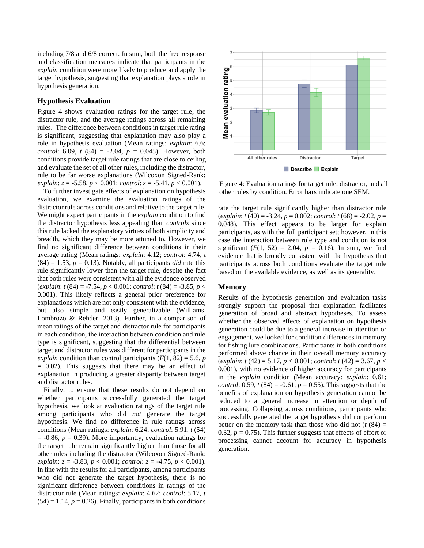including 7/8 and 6/8 correct. In sum, both the free response and classification measures indicate that participants in the *explain* condition were more likely to produce and apply the target hypothesis, suggesting that explanation plays a role in hypothesis generation.

#### **Hypothesis Evaluation**

Figure 4 shows evaluation ratings for the target rule, the distractor rule, and the average ratings across all remaining rules. The difference between conditions in target rule rating is significant, suggesting that explanation may also play a role in hypothesis evaluation (Mean ratings: *explain*: 6.6; *control*: 6.09, *t* (84) = -2.04, *p* = 0.045). However, both conditions provide target rule ratings that are close to ceiling and evaluate the set of all other rules, including the distractor, rule to be far worse explanations (Wilcoxon Signed-Rank: *explain*: *z* = -5.58, *p* < 0.001; *control*: *z* = -5.41, *p* < 0.001).

To further investigate effects of explanation on hypothesis evaluation, we examine the evaluation ratings of the distractor rule across conditions and relative to the target rule. We might expect participants in the *explain* condition to find the distractor hypothesis less appealing than *controls* since this rule lacked the explanatory virtues of both simplicity and breadth, which they may be more attuned to. However, we find no significant difference between conditions in their average rating (Mean ratings: *explain*: 4.12; *control*: 4.74, *t*  $(84) = 1.53$ ,  $p = 0.13$ ). Notably, all participants *did* rate this rule significantly lower than the target rule, despite the fact that both rules were consistent with all the evidence observed (*explain*: *t* (84) = -7.54, *p* < 0.001; *control*: *t* (84) = -3.85, *p* < 0.001). This likely reflects a general prior preference for explanations which are not only consistent with the evidence, but also simple and easily generalizable (Williams, Lombrozo & Rehder, 2013). Further, in a comparison of mean ratings of the target and distractor rule for participants in each condition, the interaction between condition and rule type is significant, suggesting that the differential between target and distractor rules was different for participants in the *explain* condition than control participants ( $F(1, 82) = 5.6$ , *p*  $= 0.02$ ). This suggests that there may be an effect of explanation in producing a greater disparity between target and distractor rules.

Finally, to ensure that these results do not depend on whether participants successfully generated the target hypothesis, we look at evaluation ratings of the target rule among participants who did *not* generate the target hypothesis. We find no difference in rule ratings across conditions (Mean ratings: *explain*: 6.24; *control*: 5.91, *t* (54)  $= -0.86$ ,  $p = 0.39$ ). More importantly, evaluation ratings for the target rule remain significantly higher than those for all other rules including the distractor (Wilcoxon Signed-Rank: *explain*: *z* = -3.83, *p* < 0.001; *control*: *z* = -4.75, *p* < 0.001). In line with the results for all participants, among participants who did not generate the target hypothesis, there is no significant difference between conditions in ratings of the distractor rule (Mean ratings: *explain*: 4.62; *control*: 5.17, *t*  $(54) = 1.14$ ,  $p = 0.26$ ). Finally, participants in both conditions



Figure 4: Evaluation ratings for target rule, distractor, and all other rules by condition. Error bars indicate one SEM.

rate the target rule significantly higher than distractor rule (*explain*: *t* (40) = -3.24, *p* = 0.002; *control*: *t* (68) = -2.02, *p* = 0.048). This effect appears to be larger for explain participants, as with the full participant set; however, in this case the interaction between rule type and condition is not significant  $(F(1, 52) = 2.04, p = 0.16)$ . In sum, we find evidence that is broadly consistent with the hypothesis that participants across both conditions evaluate the target rule based on the available evidence, as well as its generality.

### **Memory**

Results of the hypothesis generation and evaluation tasks strongly support the proposal that explanation facilitates generation of broad and abstract hypotheses. To assess whether the observed effects of explanation on hypothesis generation could be due to a general increase in attention or engagement, we looked for condition differences in memory for fishing lure combinations. Participants in both conditions performed above chance in their overall memory accuracy (*explain*: *t* (42) = 5.17, *p* < 0.001; *control*: *t* (42) = 3.67, *p* < 0.001), with no evidence of higher accuracy for participants in the *explain* condition (Mean accuracy: *explain*: 0.61; *control*: 0.59,  $t(84) = -0.61$ ,  $p = 0.55$ ). This suggests that the benefits of explanation on hypothesis generation cannot be reduced to a general increase in attention or depth of processing. Collapsing across conditions, participants who successfully generated the target hypothesis did not perform better on the memory task than those who did not  $(t (84))$ 0.32,  $p = 0.75$ ). This further suggests that effects of effort or processing cannot account for accuracy in hypothesis generation.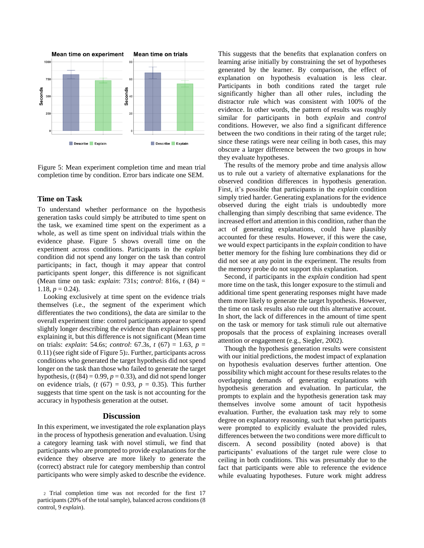

Figure 5: Mean experiment completion time and mean trial completion time by condition. Error bars indicate one SEM.

### **Time on Task**

To understand whether performance on the hypothesis generation tasks could simply be attributed to time spent on the task, we examined time spent on the experiment as a whole, as well as time spent on individual trials within the evidence phase. Figure 5 shows overall time on the experiment across conditions. Participants in the *explain*  condition did not spend any longer on the task than control participants; in fact, though it may appear that control participants spent *longer*, this difference is not significant (Mean time on task: *explain*: 731s; *control*: 816s, *t* (84) = 1.18,  $p = 0.24$ ).

Looking exclusively at time spent on the evidence trials themselves (i.e., the segment of the experiment which differentiates the two conditions), the data are similar to the overall experiment time: control participants appear to spend slightly longer describing the evidence than explainers spent explaining it, but this difference is not significant (Mean time on trials: *explain*: 54.6s; *control*: 67.3s, *t* (67) = 1.63, *p* = 0.11) (see right side of Figure 5)2. Further, participants across conditions who generated the target hypothesis did not spend longer on the task than those who failed to generate the target hypothesis,  $(t (84) = 0.99, p = 0.33)$ , and did not spend longer on evidence trials,  $(t (67) = 0.93, p = 0.35)$ . This further suggests that time spent on the task is not accounting for the accuracy in hypothesis generation at the outset.

### **Discussion**

In this experiment, we investigated the role explanation plays in the process of hypothesis generation and evaluation. Using a category learning task with novel stimuli, we find that participants who are prompted to provide explanations for the evidence they observe are more likely to generate the (correct) abstract rule for category membership than control participants who were simply asked to describe the evidence.

This suggests that the benefits that explanation confers on learning arise initially by constraining the set of hypotheses generated by the learner. By comparison, the effect of explanation on hypothesis evaluation is less clear. Participants in both conditions rated the target rule significantly higher than all other rules, including the distractor rule which was consistent with 100% of the evidence. In other words, the pattern of results was roughly similar for participants in both *explain* and *control* conditions. However, we also find a significant difference between the two conditions in their rating of the target rule; since these ratings were near ceiling in both cases, this may obscure a larger difference between the two groups in how they evaluate hypotheses.

The results of the memory probe and time analysis allow us to rule out a variety of alternative explanations for the observed condition differences in hypothesis generation. First, it's possible that participants in the *explain* condition simply tried harder. Generating explanations for the evidence observed during the eight trials is undoubtedly more challenging than simply describing that same evidence. The increased effort and attention in this condition, rather than the act of generating explanations, could have plausibly accounted for these results. However, if this were the case, we would expect participants in the *explain* condition to have better memory for the fishing lure combinations they did or did not see at any point in the experiment. The results from the memory probe do not support this explanation.

Second, if participants in the *explain* condition had spent more time on the task, this longer exposure to the stimuli and additional time spent generating responses might have made them more likely to generate the target hypothesis. However, the time on task results also rule out this alternative account. In short, the lack of differences in the amount of time spent on the task or memory for task stimuli rule out alternative proposals that the process of explaining increases overall attention or engagement (e.g., Siegler, 2002).

Though the hypothesis generation results were consistent with our initial predictions, the modest impact of explanation on hypothesis evaluation deserves further attention. One possibility which might account for these results relates to the overlapping demands of generating explanations with hypothesis generation and evaluation. In particular, the prompts to explain and the hypothesis generation task may themselves involve some amount of tacit hypothesis evaluation. Further, the evaluation task may rely to some degree on explanatory reasoning, such that when participants were prompted to explicitly evaluate the provided rules, differences between the two conditions were more difficult to discern. A second possibility (noted above) is that participants' evaluations of the target rule were close to ceiling in both conditions. This was presumably due to the fact that participants were able to reference the evidence while evaluating hypotheses. Future work might address

<sup>2</sup> Trial completion time was not recorded for the first 17 participants (20% of the total sample), balanced across conditions (8 control, 9 *explain*).